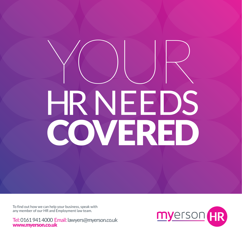# YOUR HR NEEDS COVERED

To find out how we can help your business, speak with any member of our HR and Employment law team.

Tel: 0161 941 4000 Email: lawyers@myerson.co.uk www.myerson.co.uk

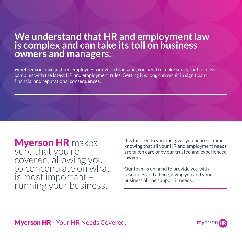#### **We understand that HR and employment law is complex and can take its toll on business owners and managers.**

Whether you have just ten employees, or over a thousand, you need to make sure your business complies with the latest HR and employment rules. Getting it wrong can result in significant financial and reputational consequences.

**Myerson HR** makes sure that you're covered, allowing you to concentrate on what is most important – running your business.

It is tailored to you and gives you peace of mind, knowing that all your HR and employment needs are taken care of by our trusted and experienced lawyers.

Our team is on hand to provide you with resources and advice, giving you and your business all the support it needs.

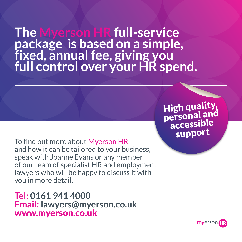**The Myerson HR full-service package is based on a simple, fixed, annual fee, giving you full control over your HR spend.**

> High quality, personal and accessible

To find out more about Myerson HR and how it can be tailored to your business, speak with Joanne Evans or any member of our team of specialist HR and employment lawyers who will be happy to discuss it with you in more detail.

**Tel: 0161 941 4000 Email: lawyers@myerson.co.uk** www.myerson.co.uk

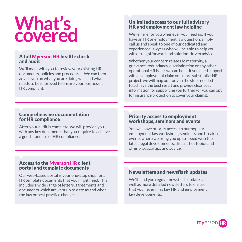## **What's covered**

#### A full Myerson HR health-check and audit

We'll meet with you to review your existing HR documents, policies and procedures. We can then advise you on what you are doing well and what needs to be improved to ensure your business is HR compliant.

#### Unlimited access to our full advisory HR and employment law helpline

We're here for you whenever you need us. If you have an HR or employment law question, simply call us and speak to one of our dedicated and experienced lawyers who will be able to help you with straightforward and solution-driven advice.

Whether your concern relates to maternity, a grievance, redundancy, discrimination or any other operational HR issue, we can help. If you need support with an employment claim or a more substantial HR project, we will map out for you the steps needed to achieve the best result and provide clear cost information for supporting you further (or you can opt for insurance protection to cover your claims).

#### Comprehensive documentation for HR compliance

After your audit is complete, we will provide you with any key documents that you require to achieve a good standard of HR compliance.

#### Priority access to employment workshops, seminars and events

You will have priority access to our popular employment law workshops, seminars and breakfast events where we bring you up to speed with the latest legal developments, discuss hot topics and offer practical tips and advice.

#### Access to the Myerson HR client portal and template documents

Our web-based portal is your one-stop shop for all HR template documents that you might need. This includes a wide range of letters, agreements and documents which are kept up to date as and when the law or best practice changes.

#### Newsletters and newsflash updates

We'll send you regular newsflash updates as well as more detailed newsletters to ensure that you never miss key HR and employment law developments.

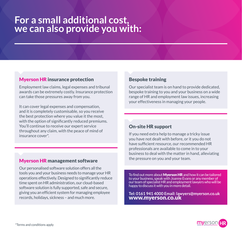#### **For a small additional cost, we can also provide you with:**

#### Myerson HR insurance protection

Employment law claims, legal expenses and tribunal awards can be extremely costly. Insurance protection can take those pressures away from you.

It can cover legal expenses and compensation, and it is completely customisable, so you receive the best protection where you value it the most, with the option of significantly reduced premiums. You'll continue to receive our expert service throughout any claim, with the peace of mind of insurance cover\*.

#### Myerson HR management software

Our personalised software solution offers all the tools you and your business needs to manage your HR operations effectively. Designed to significantly reduce time spent on HR administration, our cloud-based software solution is fully supported, safe and secure, giving you an efficient system for managing employee records, holidays, sickness – and much more.

#### Bespoke training

Our specialist team is on hand to provide dedicated, bespoke training to you and your business on a wide range of HR and employment law issues, increasing your effectiveness in managing your people.

#### On-site HR support

If you need extra help to manage a tricky issue you have not dealt with before, or it you do not have sufficient resource, our recommended HR professionals are available to come in to your business to deal with the matter in hand, alleviating the pressure on you and your team.

To find out more about **Mverson HR** and how it can be tailored to your business, speak with Joanne Evans or any member of our team of specialist HR and employment lawyers who will be happy to discuss it with you in more detail.

**Tel: 0161 941 4000 Email: lawyers@myerson.co.uk** www.myerson.co.uk